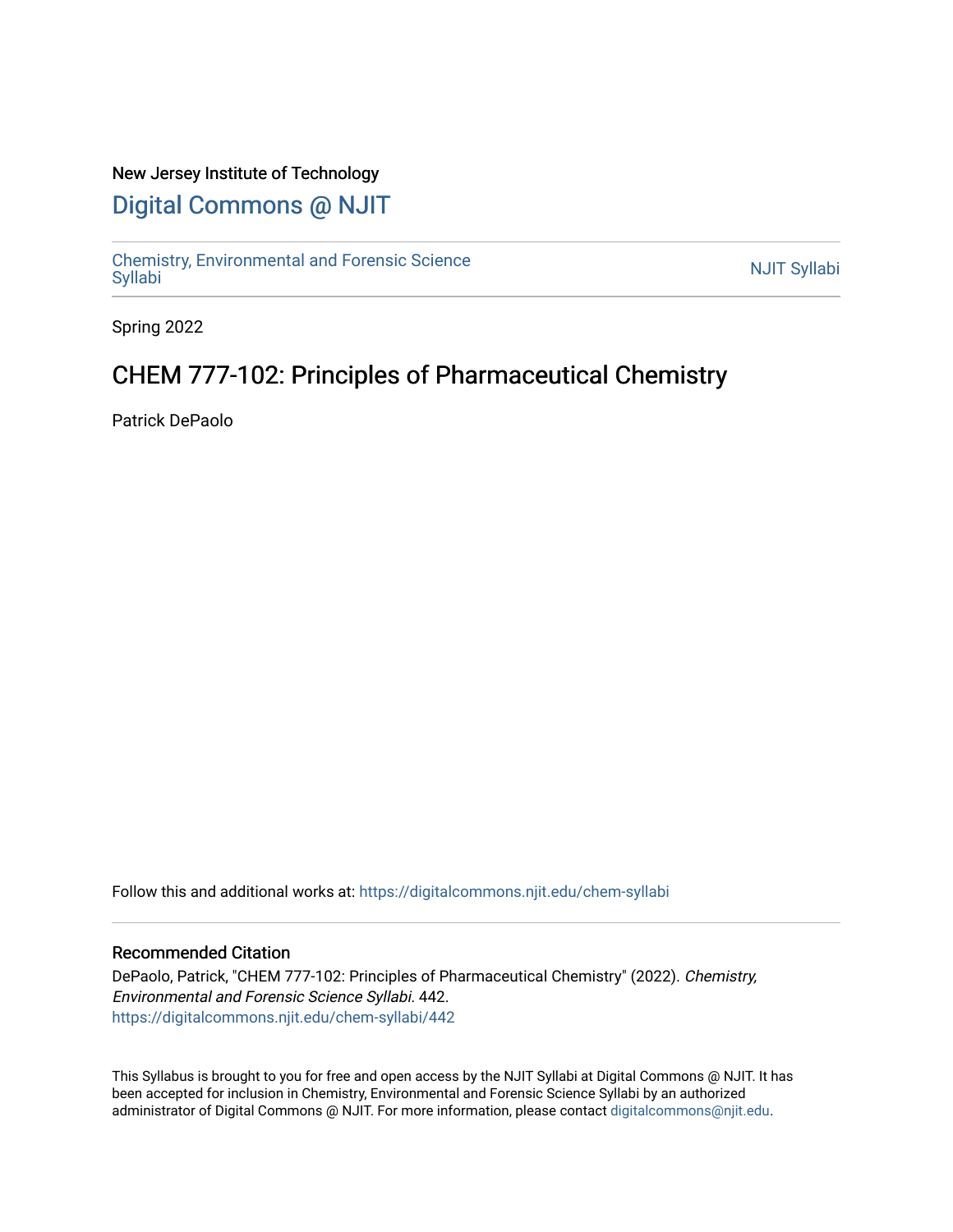# New Jersey Institute of Technology

# [Digital Commons @ NJIT](https://digitalcommons.njit.edu/)

Chemistry, Environmental and Forensic Science<br>Syllabi

Spring 2022

# CHEM 777-102: Principles of Pharmaceutical Chemistry

Patrick DePaolo

Follow this and additional works at: [https://digitalcommons.njit.edu/chem-syllabi](https://digitalcommons.njit.edu/chem-syllabi?utm_source=digitalcommons.njit.edu%2Fchem-syllabi%2F442&utm_medium=PDF&utm_campaign=PDFCoverPages) 

### Recommended Citation

DePaolo, Patrick, "CHEM 777-102: Principles of Pharmaceutical Chemistry" (2022). Chemistry, Environmental and Forensic Science Syllabi. 442. [https://digitalcommons.njit.edu/chem-syllabi/442](https://digitalcommons.njit.edu/chem-syllabi/442?utm_source=digitalcommons.njit.edu%2Fchem-syllabi%2F442&utm_medium=PDF&utm_campaign=PDFCoverPages) 

This Syllabus is brought to you for free and open access by the NJIT Syllabi at Digital Commons @ NJIT. It has been accepted for inclusion in Chemistry, Environmental and Forensic Science Syllabi by an authorized administrator of Digital Commons @ NJIT. For more information, please contact [digitalcommons@njit.edu.](mailto:digitalcommons@njit.edu)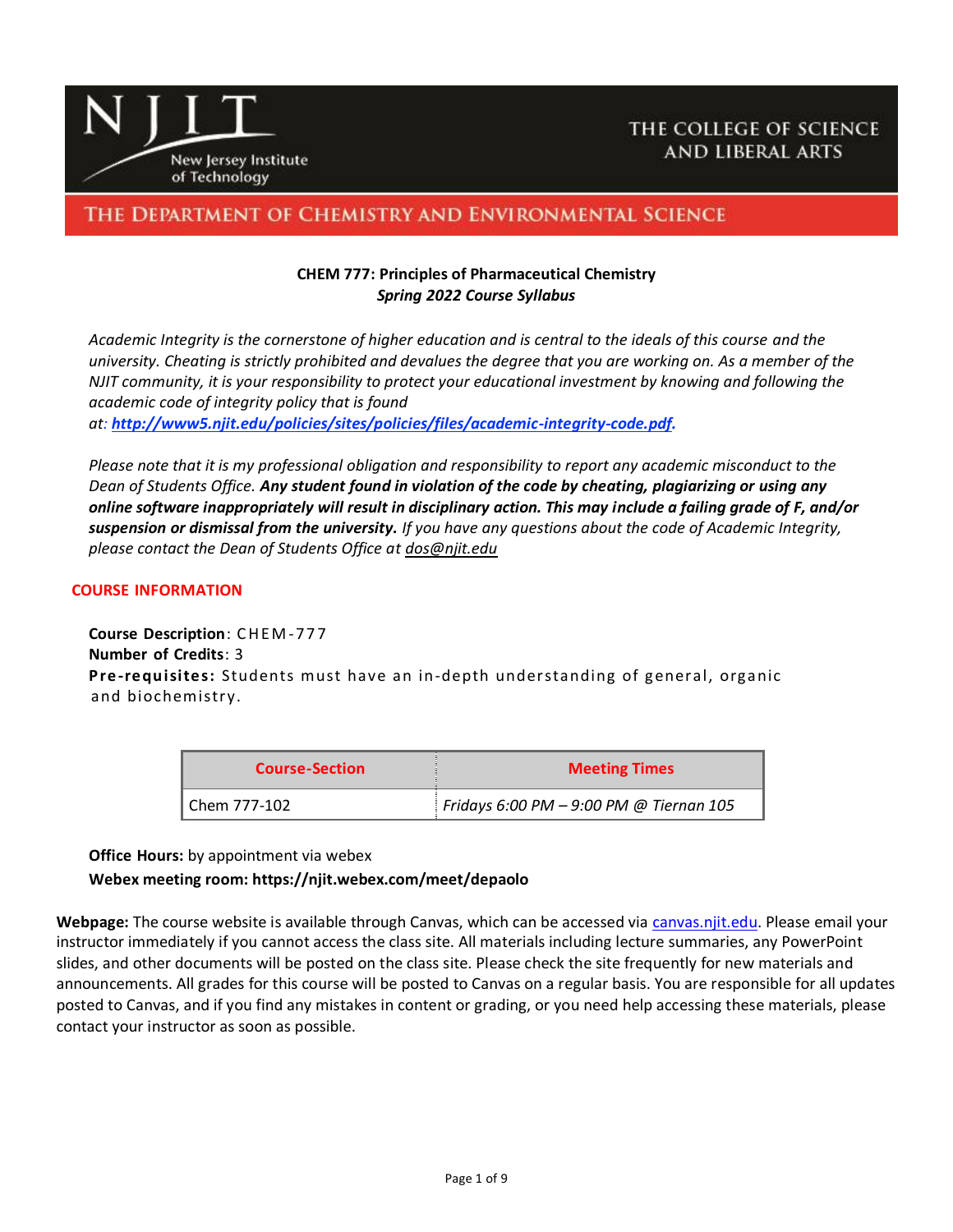

# THE DEPARTMENT OF CHEMISTRY AND ENVIRONMENTAL SCIENCE

## **CHEM 777: Principles of Pharmaceutical Chemistry** *Spring 2022 Course Syllabus*

*Academic Integrity is the cornerstone of higher education and is central to the ideals of this course and the university. Cheating is strictly prohibited and devalues the degree that you are working on. As a member of the NJIT community, it is your responsibility to protect your educational investment by knowing and following the academic code of integrity policy that is found at: [http://www5.njit.edu/policies/sites/policies/files/academic-integrity-code.pdf.](http://www5.njit.edu/policies/sites/policies/files/academic-integrity-code.pdf)* 

*Please note that it is my professional obligation and responsibility to report any academic misconduct to the Dean of Students Office. Any student found in violation of the code by cheating, plagiarizing or using any online software inappropriately will result in disciplinary action. This may include a failing grade of F, and/or suspension or dismissal from the university. If you have any questions about the code of Academic Integrity, please contact the Dean of Students Office at [dos@njit.edu](mailto:dos@njit.edu)*

#### **COURSE INFORMATION**

**Course Description**: C H E M -77 7 **Number of Credits**: 3 **Pre-requisites:** Students must have an in-depth understanding of general, organic and biochemistry.

| <b>Course-Section</b> | <b>Meeting Times</b>                      |  |
|-----------------------|-------------------------------------------|--|
| l Chem 777-102        | Fridays 6:00 PM $-$ 9:00 PM @ Tiernan 105 |  |

#### **Office Hours:** by appointment via webex

### **Webex meeting room: https://njit.webex.com/meet/depaolo**

**Webpage:** The course website is available through Canvas, which can be accessed via [canvas.njit.edu.](https://canvas.njit.edu/) Please email your instructor immediately if you cannot access the class site. All materials including lecture summaries, any PowerPoint slides, and other documents will be posted on the class site. Please check the site frequently for new materials and announcements. All grades for this course will be posted to Canvas on a regular basis. You are responsible for all updates posted to Canvas, and if you find any mistakes in content or grading, or you need help accessing these materials, please contact your instructor as soon as possible.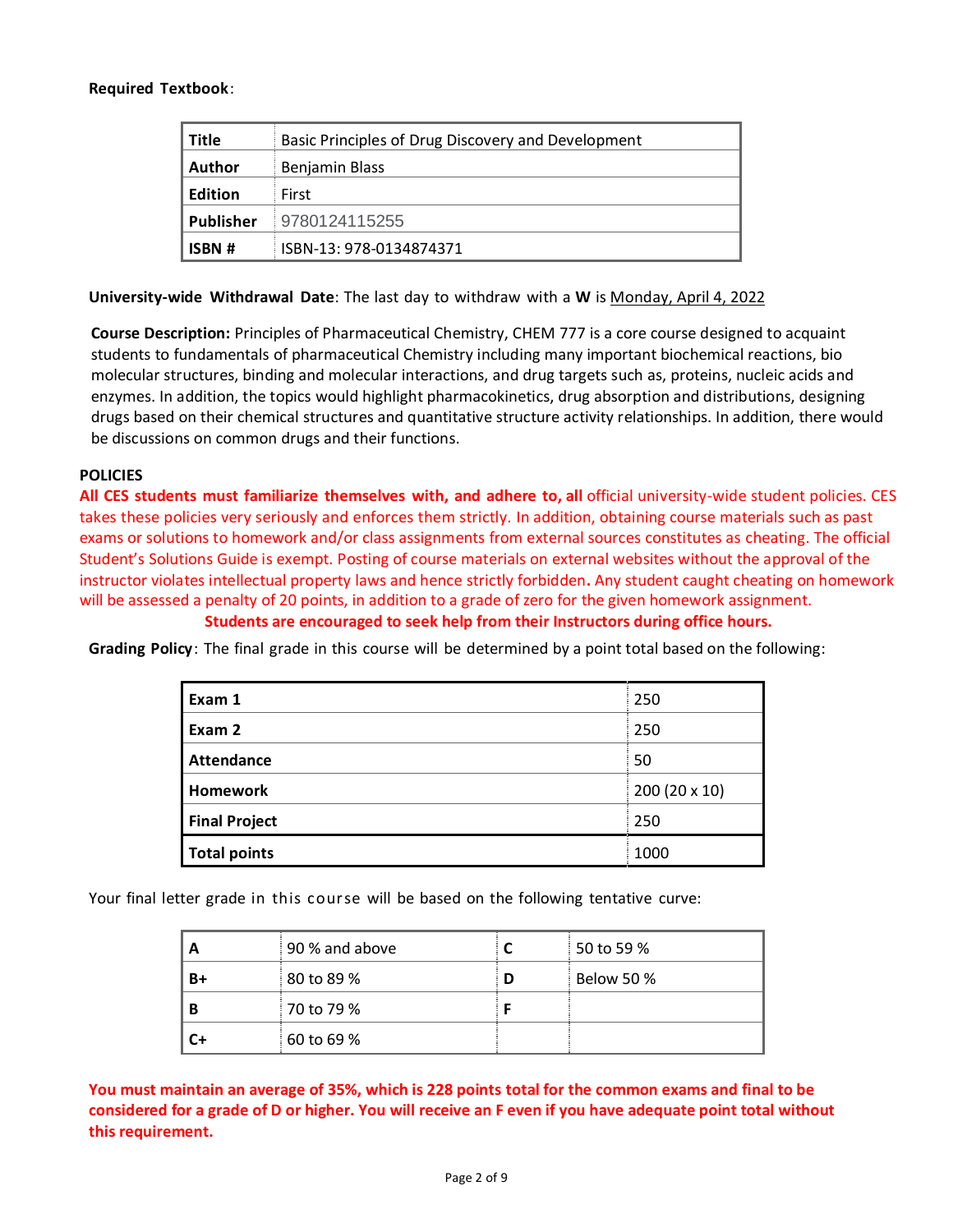### **Required Textbook**:

| <b>Title</b>     | Basic Principles of Drug Discovery and Development |
|------------------|----------------------------------------------------|
| <b>Author</b>    | <b>Benjamin Blass</b>                              |
| <b>Edition</b>   | First                                              |
| <b>Publisher</b> | 9780124115255                                      |
| <b>ISBN#</b>     | ISBN-13: 978-0134874371                            |

**University-wide Withdrawal Date**: The last day to withdraw with a **W** is Monday, April 4, 2022

**Course Description:** Principles of Pharmaceutical Chemistry, CHEM 777 is a core course designed to acquaint students to fundamentals of pharmaceutical Chemistry including many important biochemical reactions, bio molecular structures, binding and molecular interactions, and drug targets such as, proteins, nucleic acids and enzymes. In addition, the topics would highlight pharmacokinetics, drug absorption and distributions, designing drugs based on their chemical structures and quantitative structure activity relationships. In addition, there would be discussions on common drugs and their functions.

### **POLICIES**

**All CES students must familiarize themselves with, and adhere to, all** official university-wide student policies. CES takes these policies very seriously and enforces them strictly. In addition, obtaining course materials such as past exams or solutions to homework and/or class assignments from external sources constitutes as cheating. The official Student's Solutions Guide is exempt. Posting of course materials on external websites without the approval of the instructor violates intellectual property laws and hence strictly forbidden**.** Any student caught cheating on homework will be assessed a penalty of 20 points, in addition to a grade of zero for the given homework assignment. **Students are encouraged to seek help from their Instructors during office hours.**

**Grading Policy**: The final grade in this course will be determined by a point total based on the following:

| Exam 1               | 250           |
|----------------------|---------------|
| Exam 2               | 250           |
| <b>Attendance</b>    | 50            |
| <b>Homework</b>      | 200 (20 x 10) |
| <b>Final Project</b> | 250           |
| <b>Total points</b>  | 1000          |

Your final letter grade in this course will be based on the following tentative curve:

| A  | 90 % and above |   | 50 to 59 %        |
|----|----------------|---|-------------------|
| B+ | 80 to 89 %     | D | <b>Below 50 %</b> |
| В  | 70 to 79 %     |   |                   |
| C+ | 60 to 69 %     |   |                   |

**You must maintain an average of 35%, which is 228 points total for the common exams and final to be considered for a grade of D or higher. You will receive an F even if you have adequate point total without this requirement.**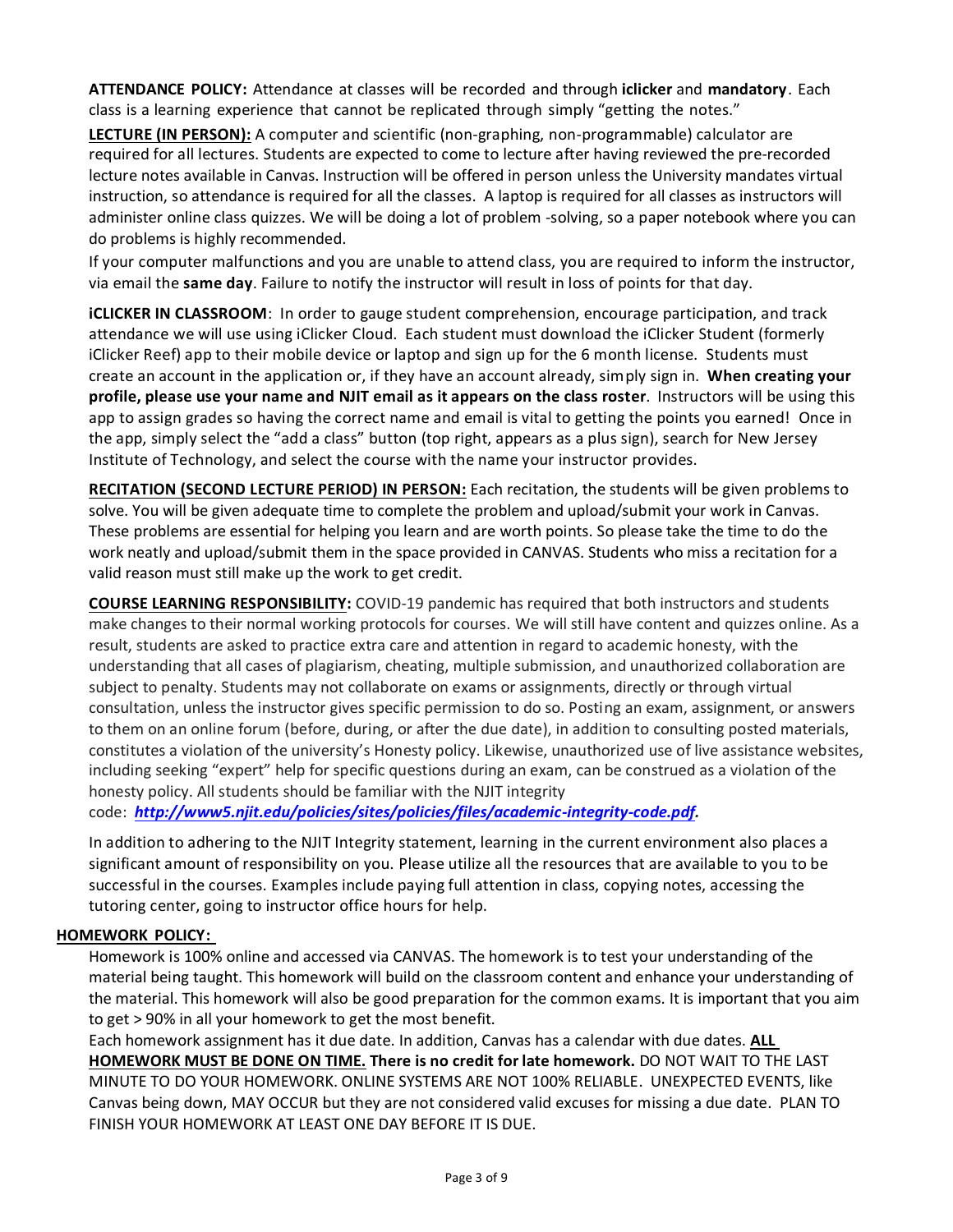**ATTENDANCE POLICY:** Attendance at classes will be recorded and through **iclicker** and **mandatory**. Each class is a learning experience that cannot be replicated through simply "getting the notes."

**LECTURE (IN PERSON):** A computer and scientific (non-graphing, non-programmable) calculator are required for all lectures. Students are expected to come to lecture after having reviewed the pre-recorded lecture notes available in Canvas. Instruction will be offered in person unless the University mandates virtual instruction, so attendance is required for all the classes. A laptop is required for all classes as instructors will administer online class quizzes. We will be doing a lot of problem -solving, so a paper notebook where you can do problems is highly recommended.

If your computer malfunctions and you are unable to attend class, you are required to inform the instructor, via email the **same day**. Failure to notify the instructor will result in loss of points for that day.

**iCLICKER IN CLASSROOM**: In order to gauge student comprehension, encourage participation, and track attendance we will use using iClicker Cloud. Each student must download the iClicker Student (formerly iClicker Reef) app to their mobile device or laptop and sign up for the 6 month license. Students must create an account in the application or, if they have an account already, simply sign in. **When creating your profile, please use your name and NJIT email as it appears on the class roster**. Instructors will be using this app to assign grades so having the correct name and email is vital to getting the points you earned! Once in the app, simply select the "add a class" button (top right, appears as a plus sign), search for New Jersey Institute of Technology, and select the course with the name your instructor provides.

**RECITATION (SECOND LECTURE PERIOD) IN PERSON:** Each recitation, the students will be given problems to solve. You will be given adequate time to complete the problem and upload/submit your work in Canvas. These problems are essential for helping you learn and are worth points. So please take the time to do the work neatly and upload/submit them in the space provided in CANVAS. Students who miss a recitation for a valid reason must still make up the work to get credit.

**COURSE LEARNING RESPONSIBILITY:** COVID-19 pandemic has required that both instructors and students make changes to their normal working protocols for courses. We will still have content and quizzes online. As a result, students are asked to practice extra care and attention in regard to academic honesty, with the understanding that all cases of plagiarism, cheating, multiple submission, and unauthorized collaboration are subject to penalty. Students may not collaborate on exams or assignments, directly or through virtual consultation, unless the instructor gives specific permission to do so. Posting an exam, assignment, or answers to them on an online forum (before, during, or after the due date), in addition to consulting posted materials, constitutes a violation of the university's Honesty policy. Likewise, unauthorized use of live assistance websites, including seeking "expert" help for specific questions during an exam, can be construed as a violation of the honesty policy. All students should be familiar with the NJIT integrity

code: *[http://www5.njit.edu/policies/sites/policies/files/academic-integrity-code.pdf.](http://www5.njit.edu/policies/sites/policies/files/academic-integrity-code.pdf)* 

In addition to adhering to the NJIT Integrity statement, learning in the current environment also places a significant amount of responsibility on you. Please utilize all the resources that are available to you to be successful in the courses. Examples include paying full attention in class, copying notes, accessing the tutoring center, going to instructor office hours for help.

### **HOMEWORK POLICY:**

Homework is 100% online and accessed via CANVAS. The homework is to test your understanding of the material being taught. This homework will build on the classroom content and enhance your understanding of the material. This homework will also be good preparation for the common exams. It is important that you aim to get > 90% in all your homework to get the most benefit.

Each homework assignment has it due date. In addition, Canvas has a calendar with due dates. **ALL HOMEWORK MUST BE DONE ON TIME. There is no credit for late homework.** DO NOT WAIT TO THE LAST MINUTE TO DO YOUR HOMEWORK. ONLINE SYSTEMS ARE NOT 100% RELIABLE. UNEXPECTED EVENTS, like Canvas being down, MAY OCCUR but they are not considered valid excuses for missing a due date. PLAN TO FINISH YOUR HOMEWORK AT LEAST ONE DAY BEFORE IT IS DUE.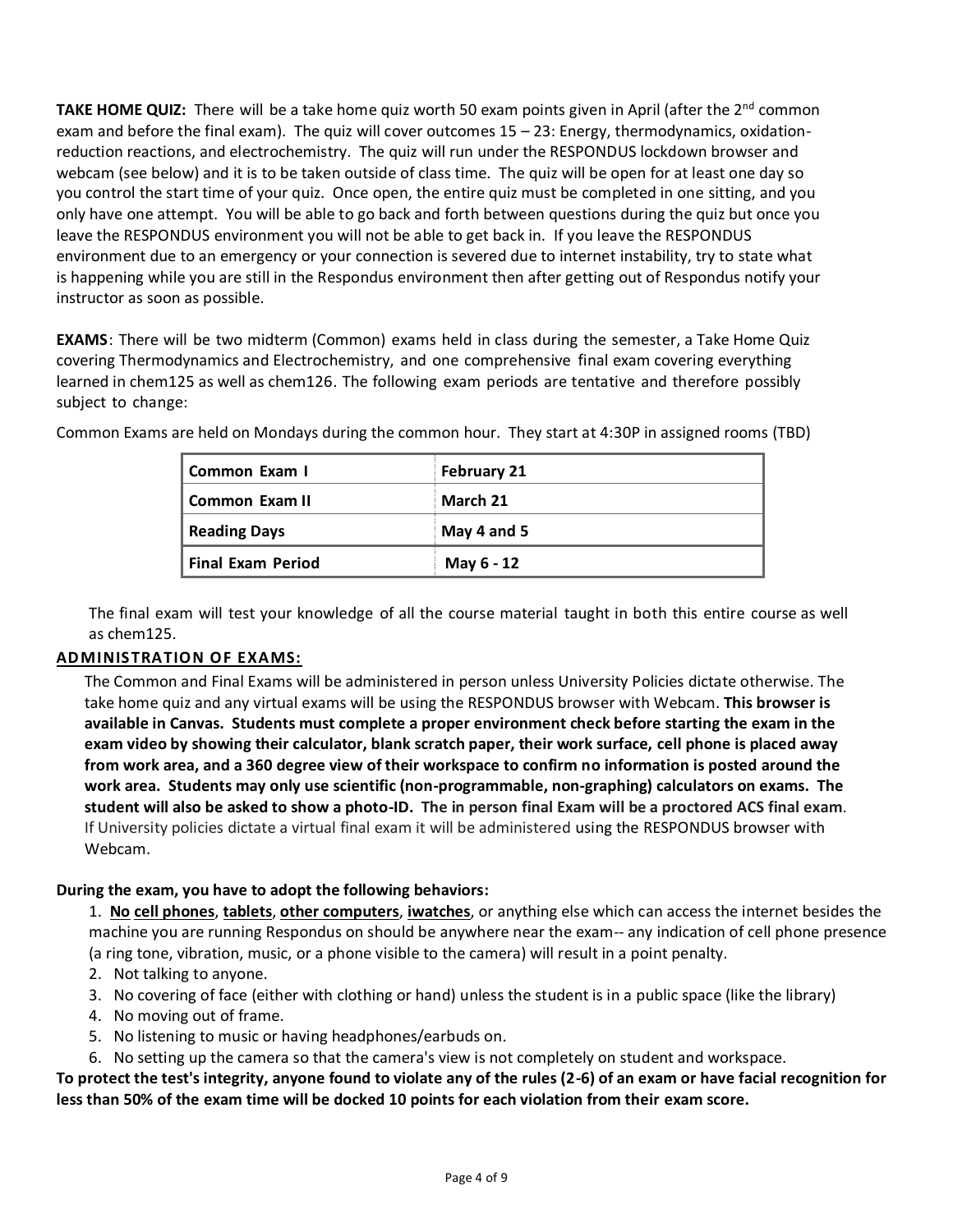**TAKE HOME QUIZ:** There will be a take home quiz worth 50 exam points given in April (after the 2<sup>nd</sup> common exam and before the final exam). The quiz will cover outcomes 15 – 23: Energy, thermodynamics, oxidationreduction reactions, and electrochemistry. The quiz will run under the RESPONDUS lockdown browser and webcam (see below) and it is to be taken outside of class time. The quiz will be open for at least one day so you control the start time of your quiz. Once open, the entire quiz must be completed in one sitting, and you only have one attempt. You will be able to go back and forth between questions during the quiz but once you leave the RESPONDUS environment you will not be able to get back in. If you leave the RESPONDUS environment due to an emergency or your connection is severed due to internet instability, try to state what is happening while you are still in the Respondus environment then after getting out of Respondus notify your instructor as soon as possible.

**EXAMS**: There will be two midterm (Common) exams held in class during the semester, a Take Home Quiz covering Thermodynamics and Electrochemistry, and one comprehensive final exam covering everything learned in chem125 as well as chem126. The following exam periods are tentative and therefore possibly subject to change:

| Common Exam I            | <b>February 21</b> |
|--------------------------|--------------------|
| Common Exam II           | March 21           |
| <b>Reading Days</b>      | May 4 and 5        |
| <b>Final Exam Period</b> | May 6 - 12         |

Common Exams are held on Mondays during the common hour. They start at 4:30P in assigned rooms (TBD)

The final exam will test your knowledge of all the course material taught in both this entire course as well as chem125.

## **ADMINISTRATION OF EXAMS:**

The Common and Final Exams will be administered in person unless University Policies dictate otherwise. The take home quiz and any virtual exams will be using the RESPONDUS browser with Webcam. **This browser is available in Canvas. Students must complete a proper environment check before starting the exam in the exam video by showing their calculator, blank scratch paper, their work surface, cell phone is placed away from work area, and a 360 degree view of their workspace to confirm no information is posted around the work area. Students may only use scientific (non-programmable, non-graphing) calculators on exams. The student will also be asked to show a photo-ID. The in person final Exam will be a proctored ACS final exam**. If University policies dictate a virtual final exam it will be administered using the RESPONDUS browser with Webcam.

## **During the exam, you have to adopt the following behaviors:**

1. **No cell phones**, **tablets**, **other computers**, **iwatches**, or anything else which can access the internet besides the machine you are running Respondus on should be anywhere near the exam-- any indication of cell phone presence (a ring tone, vibration, music, or a phone visible to the camera) will result in a point penalty.

- 2. Not talking to anyone.
- 3. No covering of face (either with clothing or hand) unless the student is in a public space (like the library)
- 4. No moving out of frame.
- 5. No listening to music or having headphones/earbuds on.
- 6. No setting up the camera so that the camera's view is not completely on student and workspace.

## **To protect the test's integrity, anyone found to violate any of the rules (2-6) of an exam or have facial recognition for less than 50% of the exam time will be docked 10 points for each violation from their exam score.**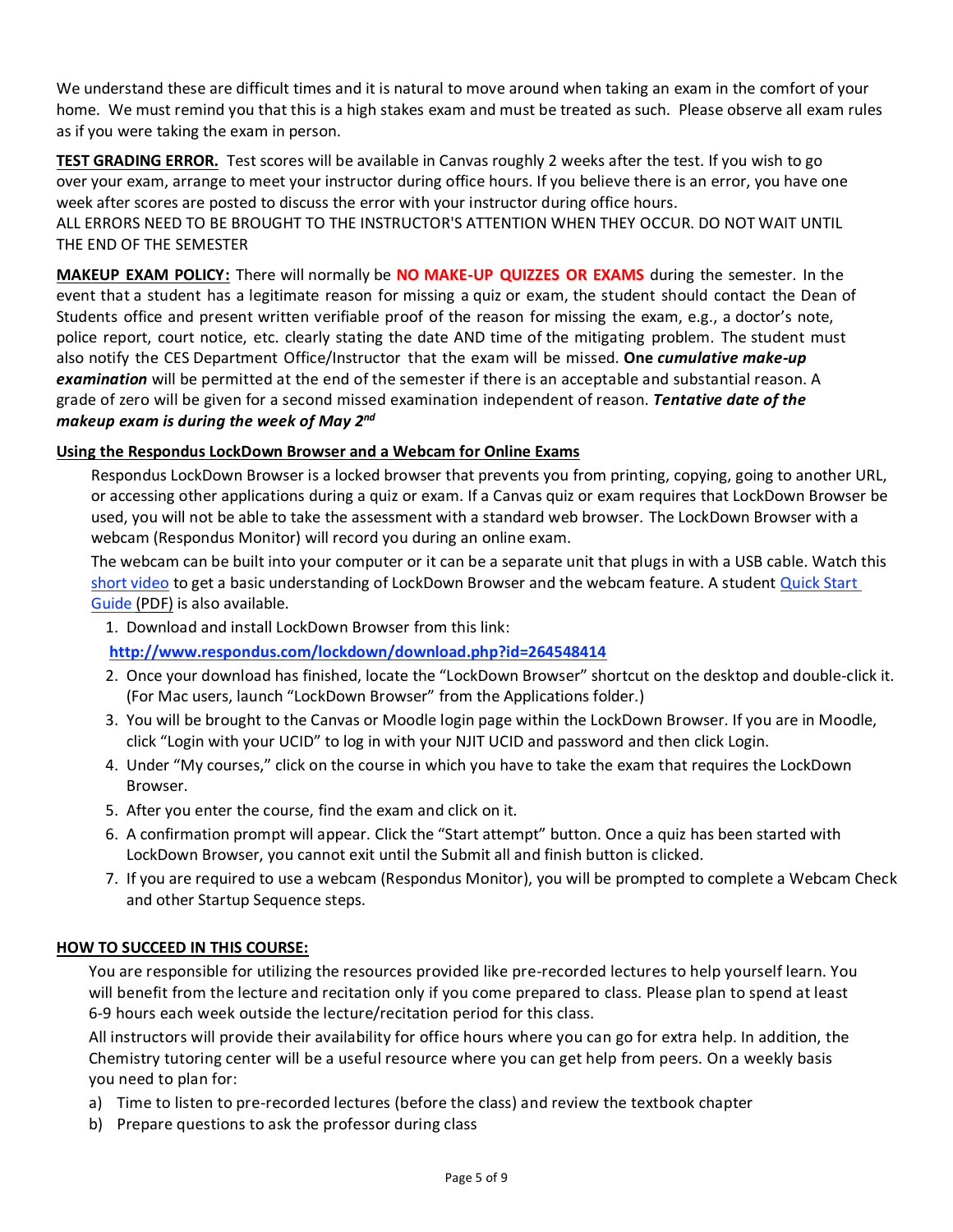We understand these are difficult times and it is natural to move around when taking an exam in the comfort of your home. We must remind you that this is a high stakes exam and must be treated as such. Please observe all exam rules as if you were taking the exam in person.

**TEST GRADING ERROR.** Test scores will be available in Canvas roughly 2 weeks after the test. If you wish to go over your exam, arrange to meet your instructor during office hours. If you believe there is an error, you have one week after scores are posted to discuss the error with your instructor during office hours. ALL ERRORS NEED TO BE BROUGHT TO THE INSTRUCTOR'S ATTENTION WHEN THEY OCCUR. DO NOT WAIT UNTIL THE END OF THE SEMESTER

**MAKEUP EXAM POLICY:** There will normally be **NO MAKE-UP QUIZZES OR EXAMS** during the semester. In the event that a student has a legitimate reason for missing a quiz or exam, the student should contact the Dean of Students office and present written verifiable proof of the reason for missing the exam, e.g., a doctor's note, police report, court notice, etc. clearly stating the date AND time of the mitigating problem. The student must also notify the CES Department Office/Instructor that the exam will be missed. **One** *cumulative make-up examination* will be permitted at the end of the semester if there is an acceptable and substantial reason. A grade of zero will be given for a second missed examination independent of reason. *Tentative date of the makeup exam is during the week of May 2 nd*

## **Using the Respondus LockDown Browser and a Webcam for Online Exams**

Respondus LockDown Browser is a locked browser that prevents you from printing, copying, going to another URL, or accessing other applications during a quiz or exam. If a Canvas quiz or exam requires that LockDown Browser be used, you will not be able to take the assessment with a standard web browser. The LockDown Browser with a webcam (Respondus Monitor) will record you during an online exam.

The webcam can be built into your computer or it can be a separate unit that plugs in with a USB cable. Watch this [short video](http://www.respondus.com/products/lockdown-browser/student-movie.shtml) to get a basic understanding of LockDown Browser and the webcam feature. A student [Quick Start](http://www.respondus.com/products/monitor/guides.shtml)  [Guide \(PDF\)](http://www.respondus.com/products/monitor/guides.shtml) is also available.

1. Download and install LockDown Browser from this link:

**<http://www.respondus.com/lockdown/download.php?id=264548414>**

- 2. Once your download has finished, locate the "LockDown Browser" shortcut on the desktop and double-click it. (For Mac users, launch "LockDown Browser" from the Applications folder.)
- 3. You will be brought to the Canvas or Moodle login page within the LockDown Browser. If you are in Moodle, click "Login with your UCID" to log in with your NJIT UCID and password and then click Login.
- 4. Under "My courses," click on the course in which you have to take the exam that requires the LockDown Browser.
- 5. After you enter the course, find the exam and click on it.
- 6. A confirmation prompt will appear. Click the "Start attempt" button. Once a quiz has been started with LockDown Browser, you cannot exit until the Submit all and finish button is clicked.
- 7. If you are required to use a webcam (Respondus Monitor), you will be prompted to complete a Webcam Check and other Startup Sequence steps.

### **HOW TO SUCCEED IN THIS COURSE:**

You are responsible for utilizing the resources provided like pre-recorded lectures to help yourself learn. You will benefit from the lecture and recitation only if you come prepared to class. Please plan to spend at least 6-9 hours each week outside the lecture/recitation period for this class.

All instructors will provide their availability for office hours where you can go for extra help. In addition, the Chemistry tutoring center will be a useful resource where you can get help from peers. On a weekly basis you need to plan for:

- a) Time to listen to pre-recorded lectures (before the class) and review the textbook chapter
- b) Prepare questions to ask the professor during class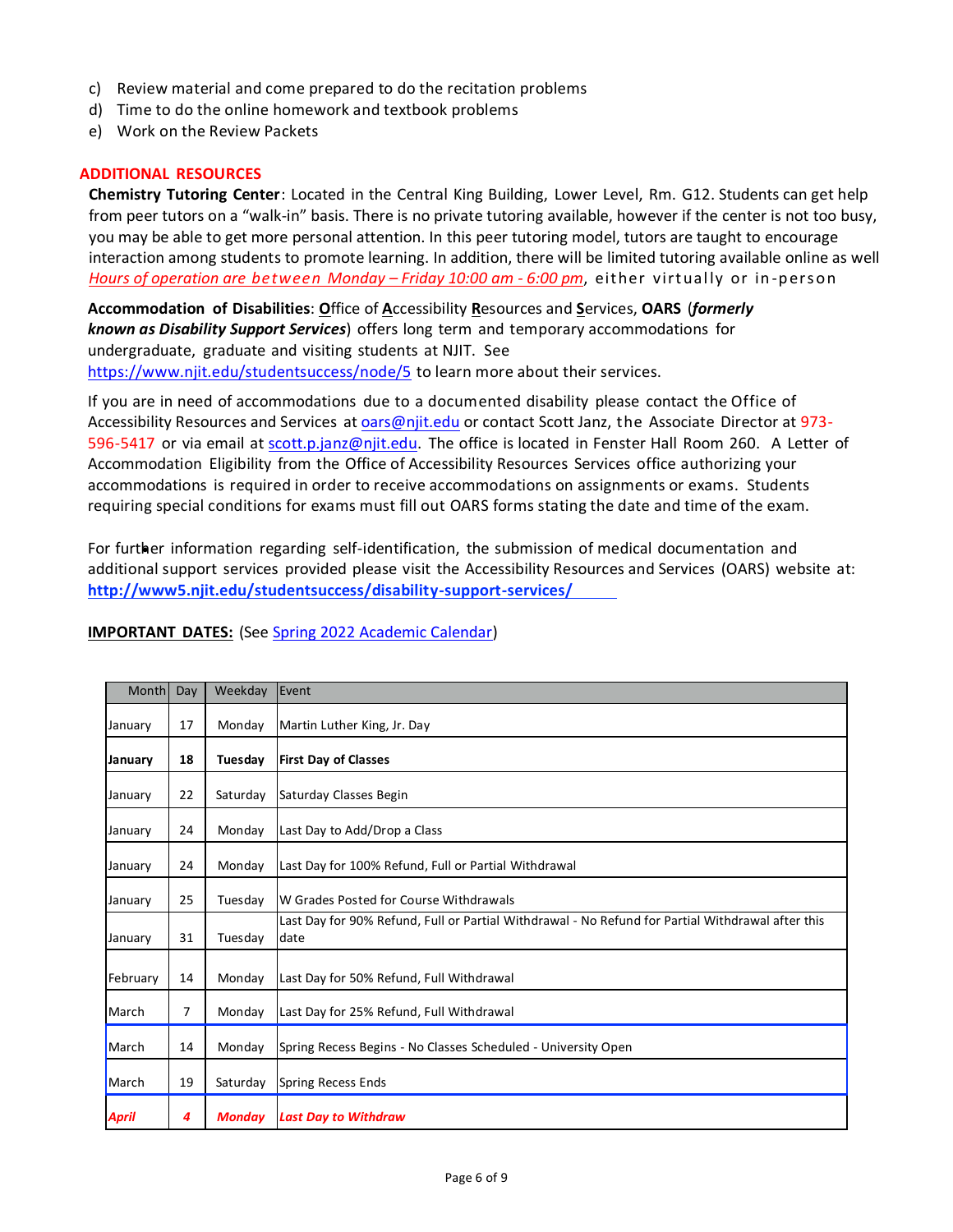- c) Review material and come prepared to do the recitation problems
- d) Time to do the online homework and textbook problems
- e) Work on the Review Packets

#### **ADDITIONAL RESOURCES**

**Chemistry Tutoring Center**: Located in the Central King Building, Lower Level, Rm. G12. Students can get help from peer tutors on a "walk-in" basis. There is no private tutoring available, however if the center is not too busy, you may be able to get more personal attention. In this peer tutoring model, tutors are taught to encourage interaction among students to promote learning. In addition, there will be limited tutoring available online as well *Hours of operation are between Monday – Friday 10:00 am - 6:00 pm, either virtually or in-person* 

**Accommodation of Disabilities**: **O**ffice of **A**ccessibility **R**esources and **S**ervices, **OARS** (*formerly known as Disability Support Services*) offers long term and temporary accommodations for undergraduate, graduate and visiting students at NJIT. See <https://www.njit.edu/studentsuccess/node/5> to learn more about their services.

If you are in need of accommodations due to a documented disability please contact the Office of Accessibility Resources and Services at [oars@njit.edu](mailto:oars@njit.edu) or contact Scott Janz, the Associate Director at 973 596-5417 or via email at [scott.p.janz@njit.edu.](mailto:scott.p.janz@njit.edu) The office is located in Fenster Hall Room 260. A Letter of Accommodation Eligibility from the Office of Accessibility Resources Services office authorizing your accommodations is required in order to receive accommodations on assignments or exams. Students requiring special conditions for exams must fill out OARS forms stating the date and time of the exam.

For further information regarding self-identification, the submission of medical documentation and additional support services provided please visit the Accessibility Resources and Services (OARS) website at: **[http://www5.njit.edu/studentsuccess/disability-support-services/](http://www.njit.edu/studentsuccess/accessibility/)**

#### **IMPORTANT DATES:** (See [Spring 2022 Academic Calendar\)](https://www5.njit.edu/registrar/spring-2022-academic-calendar/)

| Month        | Day | Weekday       | Event                                                                                                     |  |
|--------------|-----|---------------|-----------------------------------------------------------------------------------------------------------|--|
| January      | 17  | Monday        | Martin Luther King, Jr. Day                                                                               |  |
| January      | 18  | Tuesday       | <b>First Day of Classes</b>                                                                               |  |
| January      | 22  | Saturday      | Saturday Classes Begin                                                                                    |  |
| January      | 24  | Monday        | Last Day to Add/Drop a Class                                                                              |  |
| January      | 24  | Monday        | Last Day for 100% Refund, Full or Partial Withdrawal                                                      |  |
| January      | 25  | Tuesday       | W Grades Posted for Course Withdrawals                                                                    |  |
| January      | 31  | Tuesday       | Last Day for 90% Refund, Full or Partial Withdrawal - No Refund for Partial Withdrawal after this<br>date |  |
| February     | 14  | Monday        | Last Day for 50% Refund, Full Withdrawal                                                                  |  |
| March        | 7   | Monday        | Last Day for 25% Refund, Full Withdrawal                                                                  |  |
| March        | 14  | Monday        | Spring Recess Begins - No Classes Scheduled - University Open                                             |  |
| March        | 19  | Saturday      | <b>Spring Recess Ends</b>                                                                                 |  |
| <b>April</b> | 4   | <b>Monday</b> | <b>Last Day to Withdraw</b>                                                                               |  |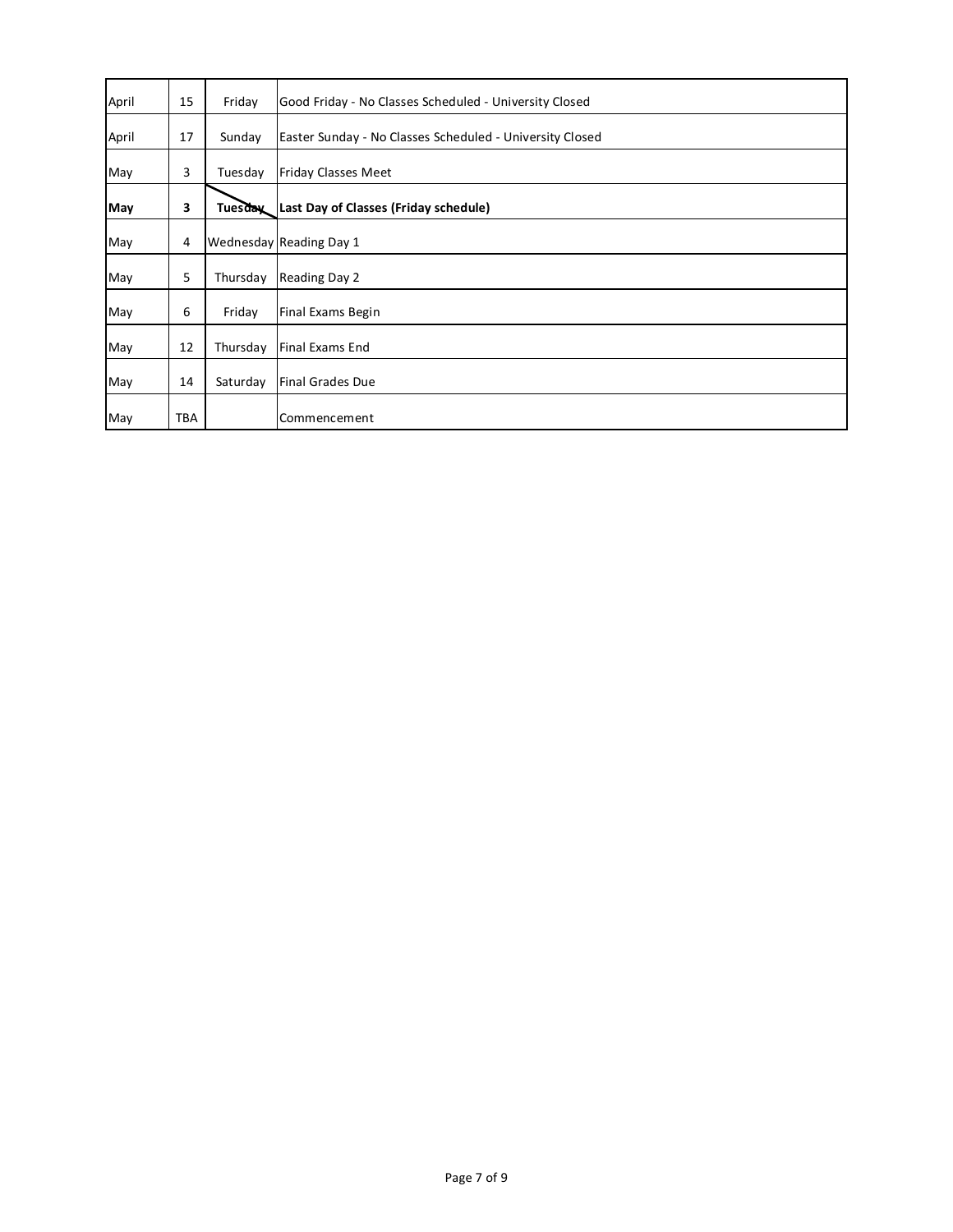| April | 15  | Friday         | Good Friday - No Classes Scheduled - University Closed   |
|-------|-----|----------------|----------------------------------------------------------|
| April | 17  | Sunday         | Easter Sunday - No Classes Scheduled - University Closed |
| May   | 3   | Tuesday        | <b>Friday Classes Meet</b>                               |
| May   | 3   | <b>Tuesday</b> | Last Day of Classes (Friday schedule)                    |
| May   | 4   |                | Wednesday Reading Day 1                                  |
| May   | 5   | Thursday       | Reading Day 2                                            |
| May   | 6   | Friday         | Final Exams Begin                                        |
| May   | 12  | Thursday       | <b>Final Exams End</b>                                   |
| May   | 14  | Saturday       | <b>Final Grades Due</b>                                  |
| May   | TBA |                | Commencement                                             |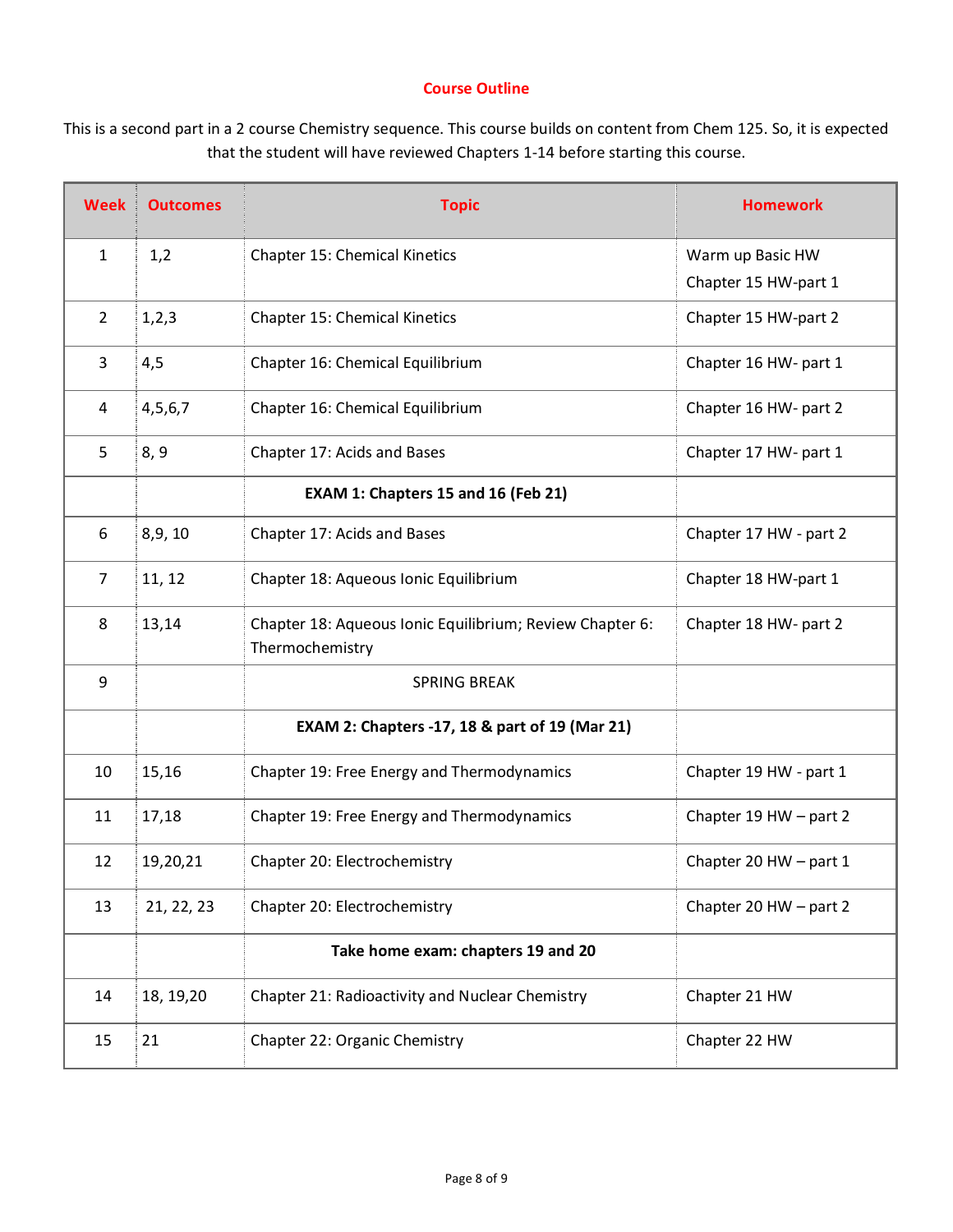## **Course Outline**

This is a second part in a 2 course Chemistry sequence. This course builds on content from Chem 125. So, it is expected that the student will have reviewed Chapters 1-14 before starting this course.

| <b>Week</b>    | <b>Outcomes</b> | <b>Topic</b>                                                                | <b>Homework</b>        |
|----------------|-----------------|-----------------------------------------------------------------------------|------------------------|
| $\mathbf{1}$   | 1,2             | Chapter 15: Chemical Kinetics                                               | Warm up Basic HW       |
|                |                 |                                                                             | Chapter 15 HW-part 1   |
| $\overline{2}$ | 1, 2, 3         | Chapter 15: Chemical Kinetics                                               | Chapter 15 HW-part 2   |
| 3              | 4,5             | Chapter 16: Chemical Equilibrium                                            | Chapter 16 HW- part 1  |
| 4              | 4,5,6,7         | Chapter 16: Chemical Equilibrium                                            | Chapter 16 HW- part 2  |
| 5              | 8, 9            | Chapter 17: Acids and Bases                                                 | Chapter 17 HW- part 1  |
|                |                 | EXAM 1: Chapters 15 and 16 (Feb 21)                                         |                        |
| 6              | 8,9,10          | Chapter 17: Acids and Bases                                                 | Chapter 17 HW - part 2 |
| $\overline{7}$ | 11, 12          | Chapter 18: Aqueous Ionic Equilibrium                                       | Chapter 18 HW-part 1   |
| 8              | 13,14           | Chapter 18: Aqueous Ionic Equilibrium; Review Chapter 6:<br>Thermochemistry | Chapter 18 HW- part 2  |
| 9              |                 | <b>SPRING BREAK</b>                                                         |                        |
|                |                 | EXAM 2: Chapters -17, 18 & part of 19 (Mar 21)                              |                        |
| 10             | 15,16           | Chapter 19: Free Energy and Thermodynamics                                  | Chapter 19 HW - part 1 |
| 11             | 17,18           | Chapter 19: Free Energy and Thermodynamics                                  | Chapter 19 HW - part 2 |
| 12             | 19,20,21        | Chapter 20: Electrochemistry                                                | Chapter 20 HW - part 1 |
| 13             | 21, 22, 23      | Chapter 20: Electrochemistry                                                | Chapter 20 HW - part 2 |
|                |                 | Take home exam: chapters 19 and 20                                          |                        |
| 14             | 18, 19, 20      | Chapter 21: Radioactivity and Nuclear Chemistry                             | Chapter 21 HW          |
| 15             | 21              | Chapter 22: Organic Chemistry                                               | Chapter 22 HW          |